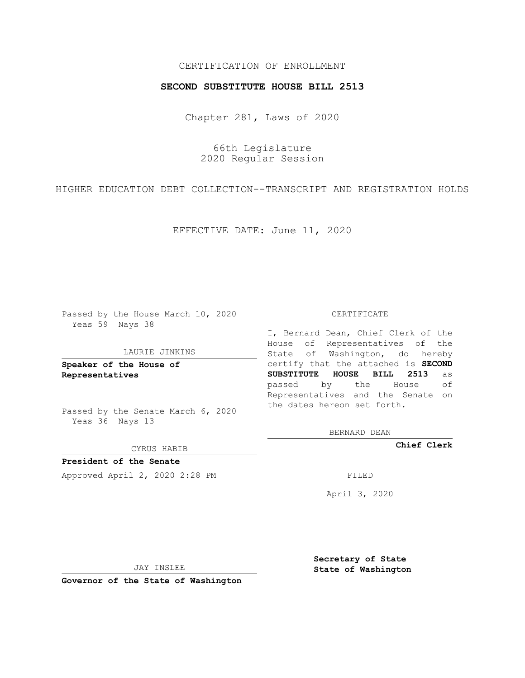## CERTIFICATION OF ENROLLMENT

## **SECOND SUBSTITUTE HOUSE BILL 2513**

Chapter 281, Laws of 2020

66th Legislature 2020 Regular Session

HIGHER EDUCATION DEBT COLLECTION--TRANSCRIPT AND REGISTRATION HOLDS

EFFECTIVE DATE: June 11, 2020

Passed by the House March 10, 2020 Yeas 59 Nays 38

#### LAURIE JINKINS

**Speaker of the House of Representatives**

Passed by the Senate March 6, 2020 Yeas 36 Nays 13

CYRUS HABIB

**President of the Senate** Approved April 2, 2020 2:28 PM

CERTIFICATE

I, Bernard Dean, Chief Clerk of the House of Representatives of the State of Washington, do hereby certify that the attached is **SECOND SUBSTITUTE HOUSE BILL 2513** as passed by the House of Representatives and the Senate on the dates hereon set forth.

BERNARD DEAN

**Chief Clerk**

April 3, 2020

JAY INSLEE

**Governor of the State of Washington**

**Secretary of State State of Washington**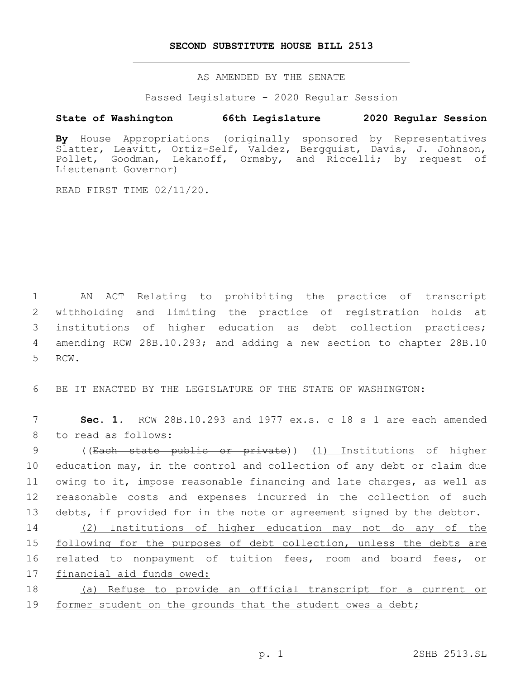## **SECOND SUBSTITUTE HOUSE BILL 2513**

AS AMENDED BY THE SENATE

Passed Legislature - 2020 Regular Session

# **State of Washington 66th Legislature 2020 Regular Session**

**By** House Appropriations (originally sponsored by Representatives Slatter, Leavitt, Ortiz-Self, Valdez, Bergquist, Davis, J. Johnson, Pollet, Goodman, Lekanoff, Ormsby, and Riccelli; by request of Lieutenant Governor)

READ FIRST TIME 02/11/20.

 AN ACT Relating to prohibiting the practice of transcript withholding and limiting the practice of registration holds at institutions of higher education as debt collection practices; amending RCW 28B.10.293; and adding a new section to chapter 28B.10 5 RCW.

6 BE IT ENACTED BY THE LEGISLATURE OF THE STATE OF WASHINGTON:

7 **Sec. 1.** RCW 28B.10.293 and 1977 ex.s. c 18 s 1 are each amended 8 to read as follows:

 ((Each state public or private)) (1) Institutions of higher education may, in the control and collection of any debt or claim due owing to it, impose reasonable financing and late charges, as well as reasonable costs and expenses incurred in the collection of such debts, if provided for in the note or agreement signed by the debtor.

 (2) Institutions of higher education may not do any of the following for the purposes of debt collection, unless the debts are related to nonpayment of tuition fees, room and board fees, or financial aid funds owed:

18 (a) Refuse to provide an official transcript for a current or 19 former student on the grounds that the student owes a debt;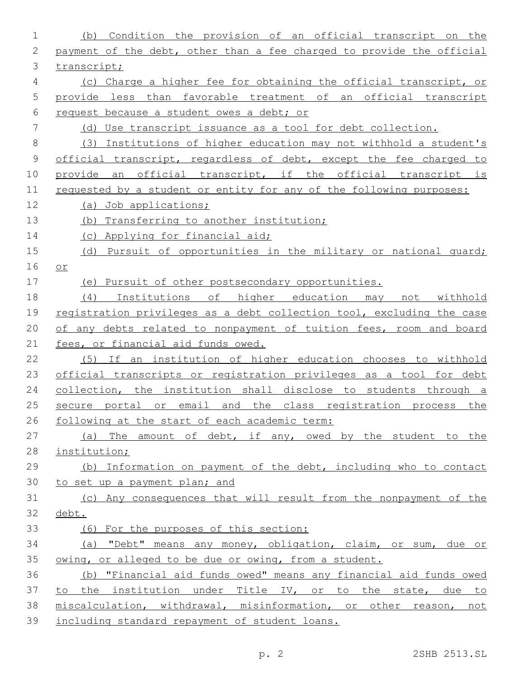| $\mathbf 1$    | Condition the provision of an official transcript<br>on the<br>(b)    |
|----------------|-----------------------------------------------------------------------|
| $\mathbf{2}$   | payment of the debt, other than a fee charged to provide the official |
| 3              | transcript;                                                           |
| $\overline{4}$ | (c) Charge a higher fee for obtaining the official transcript, or     |
| 5              | provide less than favorable treatment of an official transcript       |
| 6              | request because a student owes a debt; or                             |
| 7              | (d) Use transcript issuance as a tool for debt collection.            |
| $\,8\,$        | (3) Institutions of higher education may not withhold a student's     |
| $\mathsf 9$    | official transcript, regardless of debt, except the fee charged to    |
| 10             | provide an official transcript, if the official transcript is         |
| 11             | requested by a student or entity for any of the following purposes:   |
| 12             | (a) Job applications;                                                 |
| 13             | (b) Transferring to another institution;                              |
| 14             | (c) Applying for financial aid;                                       |
| 15             | (d) Pursuit of opportunities in the military or national quard;       |
| 16             | O <sub>L</sub>                                                        |
| 17             | (e) Pursuit of other postsecondary opportunities.                     |
| 18             | Institutions of higher education may<br>not withhold<br>(4)           |
| 19             | registration privileges as a debt collection tool, excluding the case |
| 20             | of any debts related to nonpayment of tuition fees, room and board    |
| 21             | fees, or financial aid funds owed.                                    |
| 22             | (5) If an institution of higher education chooses to withhold         |
| 23             | official transcripts or registration privileges as a tool for debt    |
| 24             | collection, the institution shall disclose to students through a      |
| 25             | secure portal or email and the class registration process the         |
| 26             | following at the start of each academic term:                         |
| 27             | (a) The amount of debt, if any, owed by the student to the            |
| 28             | institution;                                                          |
| 29             | (b) Information on payment of the debt, including who to contact      |
| 30             | to set up a payment plan; and                                         |
| 31             | (c) Any consequences that will result from the nonpayment of the      |
| 32             | debt.                                                                 |
| 33             | (6) For the purposes of this section:                                 |
| 34             | (a) "Debt" means any money, obligation, claim, or sum, due or         |
| 35             | owing, or alleged to be due or owing, from a student.                 |
| 36             | (b) "Financial aid funds owed" means any financial aid funds owed     |
| 37             | to the institution under Title IV, or to the state, due to            |
| 38             | miscalculation, withdrawal, misinformation, or other reason, not      |
| 39             | including standard repayment of student loans.                        |